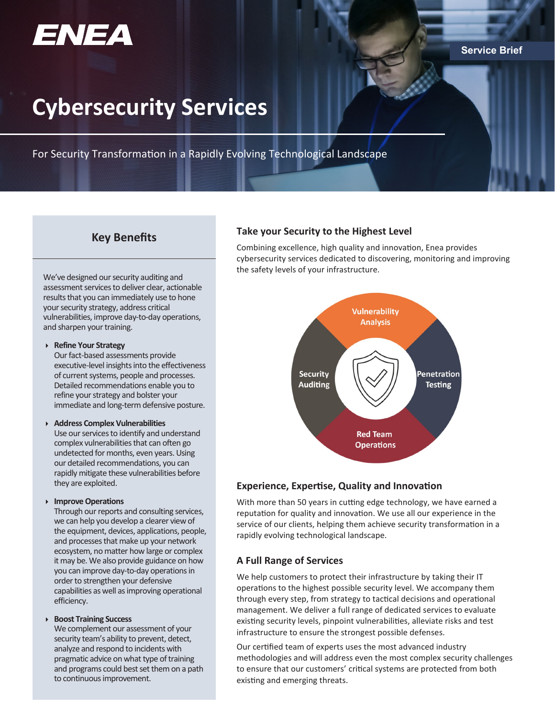

#### **Service Brief**

# **Cybersecurity Services**

For Security Transformation in a Rapidly Evolving Technological Landscape

We've designed our security auditing and assessment services to deliver clear, actionable results that you can immediately use to hone your security strategy, address critical vulnerabilities, improve day-to-day operations, and sharpen your training.

#### **Refine Your Strategy**

Our fact-based assessments provide executive-level insights into the effectiveness of current systems, people and processes. Detailed recommendations enable you to refine your strategy and bolster your immediate and long-term defensive posture.

#### **Address Complex Vulnerabilities**

Use our services to identify and understand complex vulnerabilities that can often go undetected for months, even years. Using our detailed recommendations, you can rapidly mitigate these vulnerabilities before they are exploited.

#### **Improve Operations**

Through our reports and consulting services, we can help you develop a clearer view of the equipment, devices, applications, people, and processes that make up your network ecosystem, no matter how large or complex it may be. We also provide guidance on how you can improve day-to-day operations in order to strengthen your defensive capabilities as well as improving operational efficiency.

#### **Boost Training Success**

We complement our assessment of your security team's ability to prevent, detect, analyze and respond to incidents with pragmatic advice on what type of training and programs could best set them on a path to continuous improvement.

## **Key Benefits Take your Security to the Highest Level**

Combining excellence, high quality and innovation, Enea provides cybersecurity services dedicated to discovering, monitoring and improving the safety levels of your infrastructure.



### **Experience, Expertise, Quality and Innovation**

With more than 50 years in cutting edge technology, we have earned a reputation for quality and innovation. We use all our experience in the service of our clients, helping them achieve security transformation in a rapidly evolving technological landscape.

#### **A Full Range of Services**

We help customers to protect their infrastructure by taking their IT operations to the highest possible security level. We accompany them through every step, from strategy to tactical decisions and operational management. We deliver a full range of dedicated services to evaluate existing security levels, pinpoint vulnerabilities, alleviate risks and test infrastructure to ensure the strongest possible defenses.

Our certified team of experts uses the most advanced industry methodologies and will address even the most complex security challenges to ensure that our customers' critical systems are protected from both existing and emerging threats.